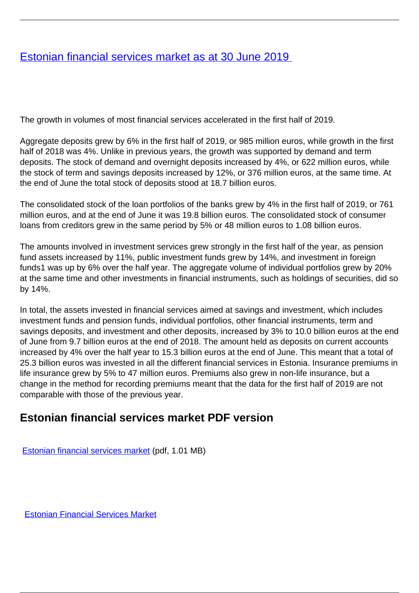## [Estonian financial services market as at 30 June 2019](/en/publications/estonian-financial-services-market-30-june-2019)

The growth in volumes of most financial services accelerated in the first half of 2019.

Aggregate deposits grew by 6% in the first half of 2019, or 985 million euros, while growth in the first half of 2018 was 4%. Unlike in previous years, the growth was supported by demand and term deposits. The stock of demand and overnight deposits increased by 4%, or 622 million euros, while the stock of term and savings deposits increased by 12%, or 376 million euros, at the same time. At the end of June the total stock of deposits stood at 18.7 billion euros.

The consolidated stock of the loan portfolios of the banks grew by 4% in the first half of 2019, or 761 million euros, and at the end of June it was 19.8 billion euros. The consolidated stock of consumer loans from creditors grew in the same period by 5% or 48 million euros to 1.08 billion euros.

The amounts involved in investment services grew strongly in the first half of the year, as pension fund assets increased by 11%, public investment funds grew by 14%, and investment in foreign funds1 was up by 6% over the half year. The aggregate volume of individual portfolios grew by 20% at the same time and other investments in financial instruments, such as holdings of securities, did so by 14%.

In total, the assets invested in financial services aimed at savings and investment, which includes investment funds and pension funds, individual portfolios, other financial instruments, term and savings deposits, and investment and other deposits, increased by 3% to 10.0 billion euros at the end of June from 9.7 billion euros at the end of 2018. The amount held as deposits on current accounts increased by 4% over the half year to 15.3 billion euros at the end of June. This meant that a total of 25.3 billion euros was invested in all the different financial services in Estonia. Insurance premiums in life insurance grew by 5% to 47 million euros. Premiums also grew in non-life insurance, but a change in the method for recording premiums meant that the data for the first half of 2019 are not comparable with those of the previous year.

## **Estonian financial services market PDF version**

[Estonian financial services market](https://fi.ee/sites/default/files/seisuga_2019_30_06_inglise.pdf) (pdf, 1.01 MB)

[Estonian Financial Services Market](/en/marksonad/estonian-financial-services-market)